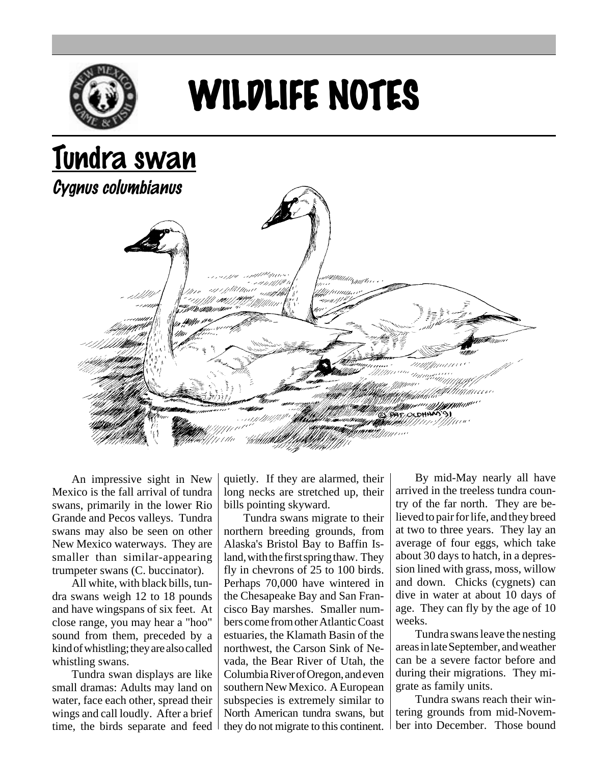

## WILDLIFE NOTES

## Tundra swan

Cygnus columbianus



An impressive sight in New Mexico is the fall arrival of tundra swans, primarily in the lower Rio Grande and Pecos valleys. Tundra swans may also be seen on other New Mexico waterways. They are smaller than similar-appearing trumpeter swans (C. buccinator).

All white, with black bills, tundra swans weigh 12 to 18 pounds and have wingspans of six feet. At close range, you may hear a "hoo" sound from them, preceded by a kind of whistling; they are also called whistling swans.

Tundra swan displays are like small dramas: Adults may land on water, face each other, spread their wings and call loudly. After a brief time, the birds separate and feed quietly. If they are alarmed, their long necks are stretched up, their bills pointing skyward.

Tundra swans migrate to their northern breeding grounds, from Alaska's Bristol Bay to Baffin Island, with the first spring thaw. They fly in chevrons of 25 to 100 birds. Perhaps 70,000 have wintered in the Chesapeake Bay and San Francisco Bay marshes. Smaller numbers come from other Atlantic Coast estuaries, the Klamath Basin of the northwest, the Carson Sink of Nevada, the Bear River of Utah, the Columbia River of Oregon, and even southern New Mexico. A European subspecies is extremely similar to North American tundra swans, but they do not migrate to this continent.

By mid-May nearly all have arrived in the treeless tundra country of the far north. They are believed to pair for life, and they breed at two to three years. They lay an average of four eggs, which take about 30 days to hatch, in a depression lined with grass, moss, willow and down. Chicks (cygnets) can dive in water at about 10 days of age. They can fly by the age of 10 weeks.

Tundra swans leave the nesting areas in late September, and weather can be a severe factor before and during their migrations. They migrate as family units.

Tundra swans reach their wintering grounds from mid-November into December. Those bound